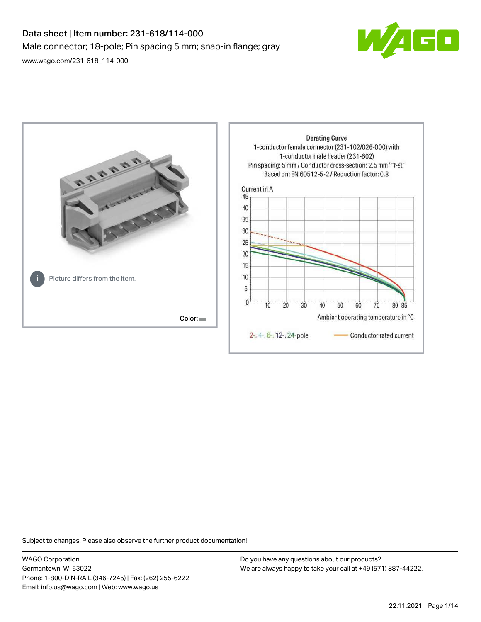# Data sheet | Item number: 231-618/114-000 Male connector; 18-pole; Pin spacing 5 mm; snap-in flange; gray

 $\boxed{\blacksquare}$ 

[www.wago.com/231-618\\_114-000](http://www.wago.com/231-618_114-000)



Subject to changes. Please also observe the further product documentation!

WAGO Corporation Germantown, WI 53022 Phone: 1-800-DIN-RAIL (346-7245) | Fax: (262) 255-6222 Email: info.us@wago.com | Web: www.wago.us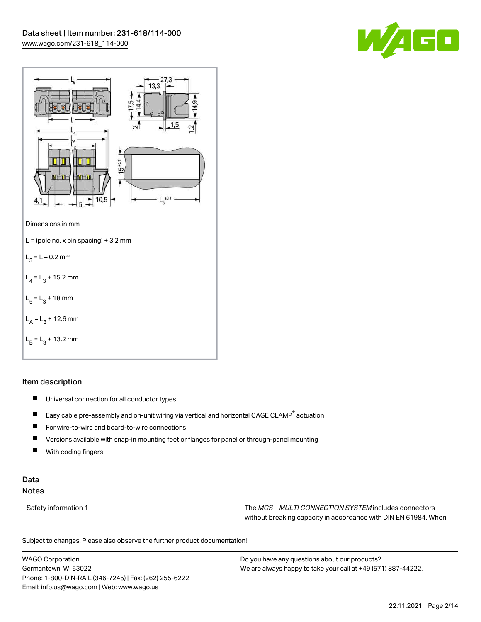



# Item description

- $\blacksquare$ Universal connection for all conductor types
- $\blacksquare$ Easy cable pre-assembly and on-unit wiring via vertical and horizontal CAGE CLAMP® actuation
- $\blacksquare$ For wire-to-wire and board-to-wire connections
- $\blacksquare$ Versions available with snap-in mounting feet or flanges for panel or through-panel mounting
- П With coding fingers

# Data Notes

Safety information 1 The MCS – MULTI CONNECTION SYSTEM includes connectors without breaking capacity in accordance with DIN EN 61984. When

Subject to changes. Please also observe the further product documentation!  $\mathbf{u}$ 

WAGO Corporation Germantown, WI 53022 Phone: 1-800-DIN-RAIL (346-7245) | Fax: (262) 255-6222 Email: info.us@wago.com | Web: www.wago.us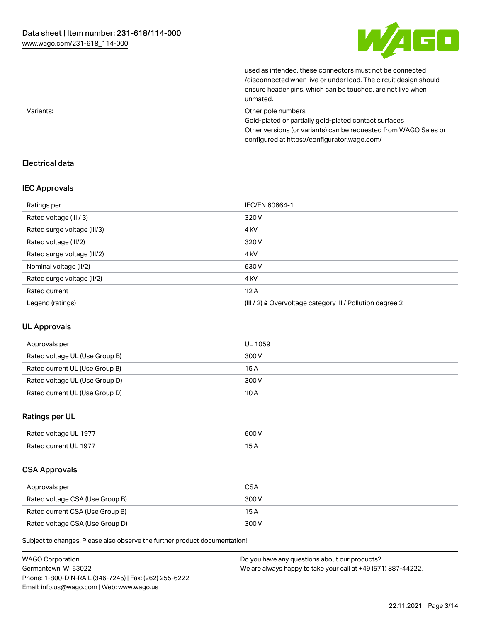

used as intended, these connectors must not be connected /disconnected when live or under load. The circuit design should ensure header pins, which can be touched, are not live when unmated.

|           | unnuuvu.                                                         |
|-----------|------------------------------------------------------------------|
| Variants: | Other pole numbers                                               |
|           | Gold-plated or partially gold-plated contact surfaces            |
|           | Other versions (or variants) can be requested from WAGO Sales or |
|           | configured at https://configurator.wago.com/                     |

# Electrical data

# IEC Approvals

| Ratings per                 | IEC/EN 60664-1                                                       |
|-----------------------------|----------------------------------------------------------------------|
| Rated voltage (III / 3)     | 320 V                                                                |
| Rated surge voltage (III/3) | 4 <sub>kV</sub>                                                      |
| Rated voltage (III/2)       | 320 V                                                                |
| Rated surge voltage (III/2) | 4 <sub>k</sub> V                                                     |
| Nominal voltage (II/2)      | 630 V                                                                |
| Rated surge voltage (II/2)  | 4 <sub>k</sub> V                                                     |
| Rated current               | 12A                                                                  |
| Legend (ratings)            | (III / 2) $\triangleq$ Overvoltage category III / Pollution degree 2 |

# UL Approvals

| Approvals per                  | UL 1059 |
|--------------------------------|---------|
| Rated voltage UL (Use Group B) | 300 V   |
| Rated current UL (Use Group B) | 15 A    |
| Rated voltage UL (Use Group D) | 300 V   |
| Rated current UL (Use Group D) | 10 A    |

# Ratings per UL

| Rated voltage UL 1977 | 600 V |
|-----------------------|-------|
| Rated current UL 1977 | эA    |

# CSA Approvals

| Approvals per                   | <b>CSA</b> |
|---------------------------------|------------|
| Rated voltage CSA (Use Group B) | 300 V      |
| Rated current CSA (Use Group B) | 15 A       |
| Rated voltage CSA (Use Group D) | 300 V      |

Subject to changes. Please also observe the further product documentation!

| <b>WAGO Corporation</b>                                | Do you have any questions about our products?                 |
|--------------------------------------------------------|---------------------------------------------------------------|
| Germantown, WI 53022                                   | We are always happy to take your call at +49 (571) 887-44222. |
| Phone: 1-800-DIN-RAIL (346-7245)   Fax: (262) 255-6222 |                                                               |
| Email: info.us@wago.com   Web: www.wago.us             |                                                               |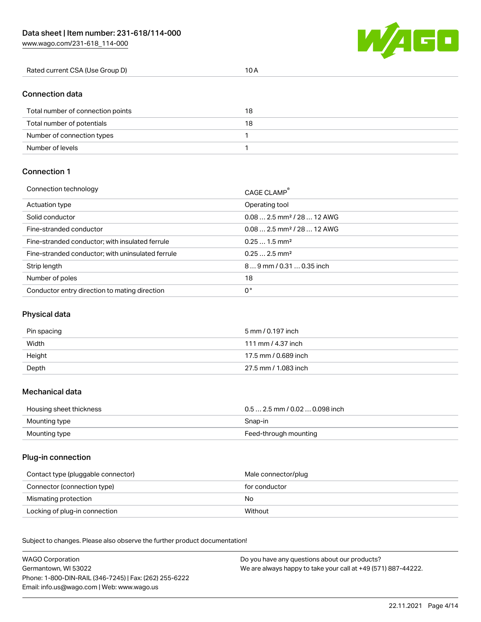[www.wago.com/231-618\\_114-000](http://www.wago.com/231-618_114-000)



| Rated current CSA (Use Group D) | <b>U</b> H |
|---------------------------------|------------|
|                                 |            |

# Connection data

| Total number of connection points | 18 |
|-----------------------------------|----|
| Total number of potentials        | 18 |
| Number of connection types        |    |
| Number of levels                  |    |

# Connection 1

| Connection technology                             | CAGE CLAMP®                             |
|---------------------------------------------------|-----------------------------------------|
| Actuation type                                    | Operating tool                          |
| Solid conductor                                   | $0.082.5$ mm <sup>2</sup> / 28  12 AWG  |
| Fine-stranded conductor                           | $0.08$ 2.5 mm <sup>2</sup> / 28  12 AWG |
| Fine-stranded conductor; with insulated ferrule   | $0.251.5$ mm <sup>2</sup>               |
| Fine-stranded conductor; with uninsulated ferrule | $0.252.5$ mm <sup>2</sup>               |
| Strip length                                      | $89$ mm / 0.31  0.35 inch               |
| Number of poles                                   | 18                                      |
| Conductor entry direction to mating direction     | 0°                                      |

# Physical data

| Pin spacing | 5 mm / 0.197 inch    |
|-------------|----------------------|
| Width       | 111 mm / 4.37 inch   |
| Height      | 17.5 mm / 0.689 inch |
| Depth       | 27.5 mm / 1.083 inch |

# Mechanical data

| Housing sheet thickness | $0.5$ 2.5 mm / 0.02  0.098 inch |
|-------------------------|---------------------------------|
| Mounting type           | Snap-in                         |
| Mounting type           | Feed-through mounting           |

# Plug-in connection

| Contact type (pluggable connector) | Male connector/plug |
|------------------------------------|---------------------|
| Connector (connection type)        | for conductor       |
| Mismating protection               | No                  |
| Locking of plug-in connection      | Without             |

Subject to changes. Please also observe the further product documentation! Material data

| <b>WAGO Corporation</b>                                | Do you have any questions about our products?                 |
|--------------------------------------------------------|---------------------------------------------------------------|
| Germantown, WI 53022                                   | We are always happy to take your call at +49 (571) 887-44222. |
| Phone: 1-800-DIN-RAIL (346-7245)   Fax: (262) 255-6222 |                                                               |
| Email: info.us@wago.com   Web: www.wago.us             |                                                               |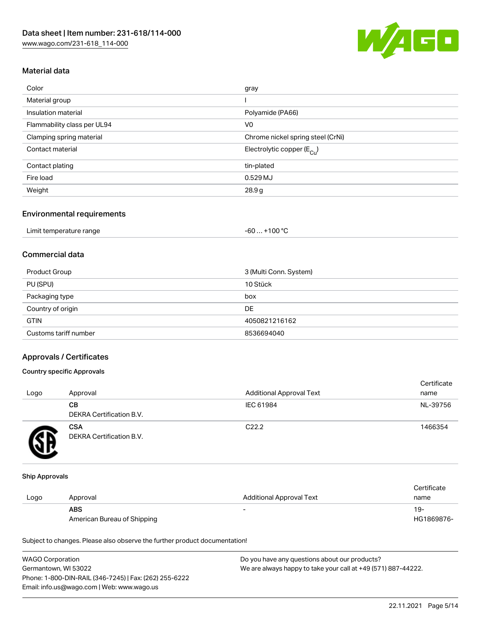

# Material data

| Color                       | gray                                    |
|-----------------------------|-----------------------------------------|
| Material group              |                                         |
| Insulation material         | Polyamide (PA66)                        |
| Flammability class per UL94 | V <sub>0</sub>                          |
| Clamping spring material    | Chrome nickel spring steel (CrNi)       |
| Contact material            | Electrolytic copper ( $E_{\text{Cu}}$ ) |
| Contact plating             | tin-plated                              |
| Fire load                   | 0.529 MJ                                |
| Weight                      | 28.9g                                   |
|                             |                                         |

## Environmental requirements

| Limit temperature range | . +100 °C<br>$-60$ |
|-------------------------|--------------------|
|-------------------------|--------------------|

# Commercial data

| Product Group         | 3 (Multi Conn. System) |
|-----------------------|------------------------|
| PU (SPU)              | 10 Stück               |
| Packaging type        | box                    |
| Country of origin     | DE                     |
| <b>GTIN</b>           | 4050821216162          |
| Customs tariff number | 8536694040             |

# Approvals / Certificates

## Country specific Approvals

| Logo | Approval                               | <b>Additional Approval Text</b> | Certificate<br>name |
|------|----------------------------------------|---------------------------------|---------------------|
|      | CВ<br><b>DEKRA Certification B.V.</b>  | IEC 61984                       | NL-39756            |
|      | <b>CSA</b><br>DEKRA Certification B.V. | C <sub>22.2</sub>               | 1466354             |

#### Ship Approvals

|      |                             |                          | Certificate |
|------|-----------------------------|--------------------------|-------------|
| Logo | Approval                    | Additional Approval Text | name        |
|      | <b>ABS</b>                  | $\overline{\phantom{0}}$ | $19-$       |
|      | American Bureau of Shipping |                          | HG1869876-  |

Subject to changes. Please also observe the further product documentation!

| <b>WAGO Corporation</b>                                | Do you have any questions about our products?                 |
|--------------------------------------------------------|---------------------------------------------------------------|
| Germantown, WI 53022                                   | We are always happy to take your call at +49 (571) 887-44222. |
| Phone: 1-800-DIN-RAIL (346-7245)   Fax: (262) 255-6222 |                                                               |
| Email: info.us@wago.com   Web: www.wago.us             |                                                               |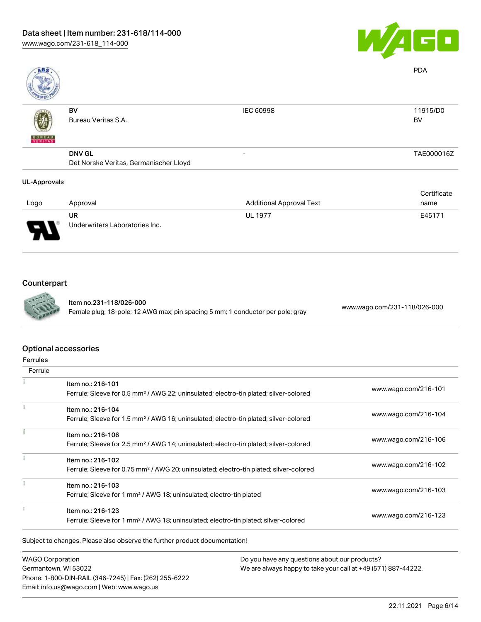

| ABS                 |                                        |                                 | <b>PDA</b>  |
|---------------------|----------------------------------------|---------------------------------|-------------|
|                     | BV                                     | IEC 60998                       | 11915/D0    |
|                     | Bureau Veritas S.A.                    |                                 | BV          |
| <b>BUREAU</b>       | <b>DNV GL</b>                          | -                               | TAE000016Z  |
|                     | Det Norske Veritas, Germanischer Lloyd |                                 |             |
| <b>UL-Approvals</b> |                                        |                                 |             |
|                     |                                        |                                 | Certificate |
| Logo                | Approval                               | <b>Additional Approval Text</b> | name        |

| Logo | Approval                             | <b>Additional Approval Text</b> | name   |
|------|--------------------------------------|---------------------------------|--------|
| J    | UR<br>Underwriters Laboratories Inc. | <b>UL 1977</b>                  | E45171 |

# Counterpart



Item no.231-118/026-000 Female plug; 18-pole; 12 AWG max; pin spacing 5 mm; 1 conductor per pole; gray [www.wago.com/231-118/026-000](https://www.wago.com/231-118/026-000)

## Optional accessories

| Ferrule |                                                                                                    |                      |  |
|---------|----------------------------------------------------------------------------------------------------|----------------------|--|
|         | Item no.: 216-101                                                                                  | www.wago.com/216-101 |  |
|         | Ferrule; Sleeve for 0.5 mm <sup>2</sup> / AWG 22; uninsulated; electro-tin plated; silver-colored  |                      |  |
|         | Item no.: 216-104                                                                                  |                      |  |
|         | Ferrule; Sleeve for 1.5 mm <sup>2</sup> / AWG 16; uninsulated; electro-tin plated; silver-colored  | www.wago.com/216-104 |  |
|         | Item no.: 216-106                                                                                  |                      |  |
|         | Ferrule; Sleeve for 2.5 mm <sup>2</sup> / AWG 14; uninsulated; electro-tin plated; silver-colored  | www.wago.com/216-106 |  |
|         | Item no.: 216-102                                                                                  |                      |  |
|         | Ferrule; Sleeve for 0.75 mm <sup>2</sup> / AWG 20; uninsulated; electro-tin plated; silver-colored | www.wago.com/216-102 |  |
|         | Item no.: 216-103                                                                                  |                      |  |
|         | Ferrule; Sleeve for 1 mm <sup>2</sup> / AWG 18; uninsulated; electro-tin plated                    | www.wago.com/216-103 |  |
|         | Item no.: 216-123                                                                                  |                      |  |
|         | Ferrule; Sleeve for 1 mm <sup>2</sup> / AWG 18; uninsulated; electro-tin plated; silver-colored    | www.wago.com/216-123 |  |

Subject to changes. Please also observe the further product documentation!

WAGO Corporation Germantown, WI 53022 Phone: 1-800-DIN-RAIL (346-7245) | Fax: (262) 255-6222 Email: info.us@wago.com | Web: www.wago.us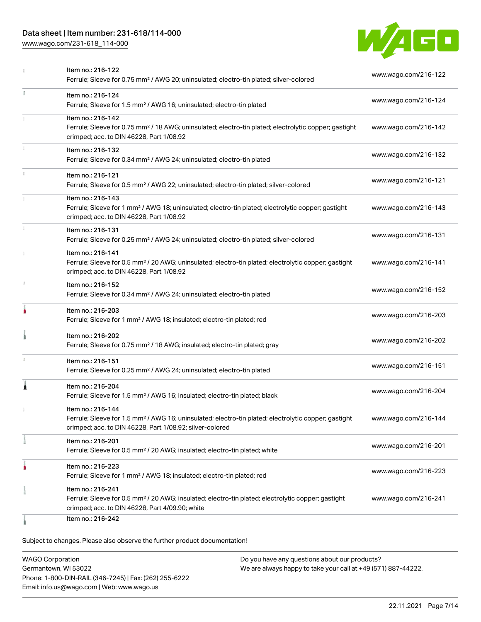# Data sheet | Item number: 231-618/114-000

[www.wago.com/231-618\\_114-000](http://www.wago.com/231-618_114-000)



|    | Item no.: 216-122<br>Ferrule; Sleeve for 0.75 mm <sup>2</sup> / AWG 20; uninsulated; electro-tin plated; silver-colored                                                                           | www.wago.com/216-122 |
|----|---------------------------------------------------------------------------------------------------------------------------------------------------------------------------------------------------|----------------------|
| Ĭ. | Item no.: 216-124<br>Ferrule; Sleeve for 1.5 mm <sup>2</sup> / AWG 16; uninsulated; electro-tin plated                                                                                            | www.wago.com/216-124 |
|    | Item no.: 216-142<br>Ferrule; Sleeve for 0.75 mm <sup>2</sup> / 18 AWG; uninsulated; electro-tin plated; electrolytic copper; gastight<br>crimped; acc. to DIN 46228, Part 1/08.92                | www.wago.com/216-142 |
|    | Item no.: 216-132<br>Ferrule; Sleeve for 0.34 mm <sup>2</sup> / AWG 24; uninsulated; electro-tin plated                                                                                           | www.wago.com/216-132 |
| î. | Item no.: 216-121<br>Ferrule; Sleeve for 0.5 mm <sup>2</sup> / AWG 22; uninsulated; electro-tin plated; silver-colored                                                                            | www.wago.com/216-121 |
|    | Item no.: 216-143<br>Ferrule; Sleeve for 1 mm <sup>2</sup> / AWG 18; uninsulated; electro-tin plated; electrolytic copper; gastight<br>crimped; acc. to DIN 46228, Part 1/08.92                   | www.wago.com/216-143 |
| I. | Item no.: 216-131<br>Ferrule; Sleeve for 0.25 mm <sup>2</sup> / AWG 24; uninsulated; electro-tin plated; silver-colored                                                                           | www.wago.com/216-131 |
|    | Item no.: 216-141<br>Ferrule; Sleeve for 0.5 mm <sup>2</sup> / 20 AWG; uninsulated; electro-tin plated; electrolytic copper; gastight<br>crimped; acc. to DIN 46228, Part 1/08.92                 | www.wago.com/216-141 |
| ı. | Item no.: 216-152<br>Ferrule; Sleeve for 0.34 mm <sup>2</sup> / AWG 24; uninsulated; electro-tin plated                                                                                           | www.wago.com/216-152 |
| ۸  | Item no.: 216-203<br>Ferrule; Sleeve for 1 mm <sup>2</sup> / AWG 18; insulated; electro-tin plated; red                                                                                           | www.wago.com/216-203 |
|    | Item no.: 216-202<br>Ferrule; Sleeve for 0.75 mm <sup>2</sup> / 18 AWG; insulated; electro-tin plated; gray                                                                                       | www.wago.com/216-202 |
| 1  | Item no.: 216-151<br>Ferrule; Sleeve for 0.25 mm <sup>2</sup> / AWG 24; uninsulated; electro-tin plated                                                                                           | www.wago.com/216-151 |
| Â  | Item no.: 216-204<br>Ferrule; Sleeve for 1.5 mm <sup>2</sup> / AWG 16; insulated; electro-tin plated; black                                                                                       | www.wago.com/216-204 |
|    | Item no.: 216-144<br>Ferrule; Sleeve for 1.5 mm <sup>2</sup> / AWG 16; uninsulated; electro-tin plated; electrolytic copper; gastight<br>crimped; acc. to DIN 46228, Part 1/08.92; silver-colored | www.wago.com/216-144 |
|    | ltem no.: 216-201<br>Ferrule; Sleeve for 0.5 mm <sup>2</sup> / 20 AWG; insulated; electro-tin plated; white                                                                                       | www.wago.com/216-201 |
|    | Item no.: 216-223<br>Ferrule; Sleeve for 1 mm <sup>2</sup> / AWG 18; insulated; electro-tin plated; red                                                                                           | www.wago.com/216-223 |
|    | Item no.: 216-241<br>Ferrule; Sleeve for 0.5 mm <sup>2</sup> / 20 AWG; insulated; electro-tin plated; electrolytic copper; gastight<br>crimped; acc. to DIN 46228, Part 4/09.90; white            | www.wago.com/216-241 |
|    | Item no.: 216-242                                                                                                                                                                                 |                      |

Subject to changes. Please also observe the further product documentation!

WAGO Corporation Germantown, WI 53022 Phone: 1-800-DIN-RAIL (346-7245) | Fax: (262) 255-6222 Email: info.us@wago.com | Web: www.wago.us Do you have any questions about our products? We are always happy to take your call at +49 (571) 887-44222.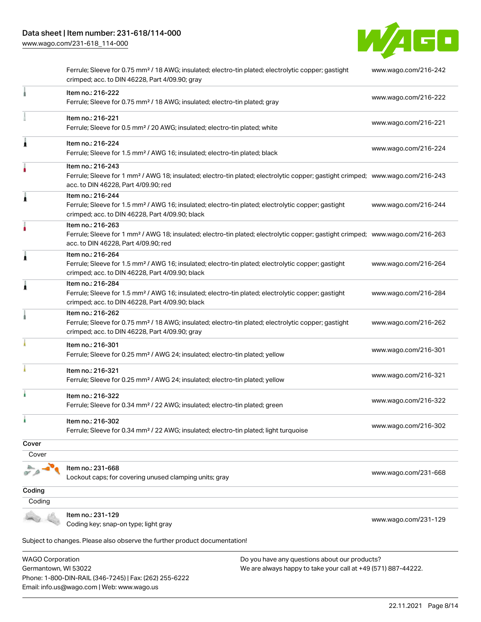[www.wago.com/231-618\\_114-000](http://www.wago.com/231-618_114-000)



|        | Ferrule; Sleeve for 0.75 mm <sup>2</sup> / 18 AWG; insulated; electro-tin plated; electrolytic copper; gastight<br>crimped; acc. to DIN 46228, Part 4/09.90; gray                                       | www.wago.com/216-242 |
|--------|---------------------------------------------------------------------------------------------------------------------------------------------------------------------------------------------------------|----------------------|
|        | Item no.: 216-222<br>Ferrule; Sleeve for 0.75 mm <sup>2</sup> / 18 AWG; insulated; electro-tin plated; gray                                                                                             | www.wago.com/216-222 |
|        | Item no.: 216-221<br>Ferrule; Sleeve for 0.5 mm <sup>2</sup> / 20 AWG; insulated; electro-tin plated; white                                                                                             | www.wago.com/216-221 |
| 1      | Item no.: 216-224<br>Ferrule; Sleeve for 1.5 mm <sup>2</sup> / AWG 16; insulated; electro-tin plated; black                                                                                             | www.wago.com/216-224 |
|        | Item no.: 216-243<br>Ferrule; Sleeve for 1 mm <sup>2</sup> / AWG 18; insulated; electro-tin plated; electrolytic copper; gastight crimped; www.wago.com/216-243<br>acc. to DIN 46228, Part 4/09.90; red |                      |
| Å      | Item no.: 216-244<br>Ferrule; Sleeve for 1.5 mm <sup>2</sup> / AWG 16; insulated; electro-tin plated; electrolytic copper; gastight<br>crimped; acc. to DIN 46228, Part 4/09.90; black                  | www.wago.com/216-244 |
|        | Item no.: 216-263<br>Ferrule; Sleeve for 1 mm <sup>2</sup> / AWG 18; insulated; electro-tin plated; electrolytic copper; gastight crimped; www.wago.com/216-263<br>acc. to DIN 46228, Part 4/09.90; red |                      |
| Ä.     | Item no.: 216-264<br>Ferrule; Sleeve for 1.5 mm <sup>2</sup> / AWG 16; insulated; electro-tin plated; electrolytic copper; gastight<br>crimped; acc. to DIN 46228, Part 4/09.90; black                  | www.wago.com/216-264 |
| À      | Item no.: 216-284<br>Ferrule; Sleeve for 1.5 mm <sup>2</sup> / AWG 16; insulated; electro-tin plated; electrolytic copper; gastight<br>crimped; acc. to DIN 46228, Part 4/09.90; black                  | www.wago.com/216-284 |
|        | Item no.: 216-262<br>Ferrule; Sleeve for 0.75 mm <sup>2</sup> / 18 AWG; insulated; electro-tin plated; electrolytic copper; gastight<br>crimped; acc. to DIN 46228, Part 4/09.90; gray                  | www.wago.com/216-262 |
|        | Item no.: 216-301<br>Ferrule; Sleeve for 0.25 mm <sup>2</sup> / AWG 24; insulated; electro-tin plated; yellow                                                                                           | www.wago.com/216-301 |
|        | Item no.: 216-321<br>Ferrule; Sleeve for 0.25 mm <sup>2</sup> / AWG 24; insulated; electro-tin plated; yellow                                                                                           | www.wago.com/216-321 |
| í      | Item no.: 216-322<br>Ferrule; Sleeve for 0.34 mm <sup>2</sup> / 22 AWG; insulated; electro-tin plated; green                                                                                            | www.wago.com/216-322 |
|        | Item no.: 216-302<br>Ferrule; Sleeve for 0.34 mm <sup>2</sup> / 22 AWG; insulated; electro-tin plated; light turquoise                                                                                  | www.wago.com/216-302 |
| Cover  |                                                                                                                                                                                                         |                      |
| Cover  |                                                                                                                                                                                                         |                      |
|        | Item no.: 231-668<br>Lockout caps; for covering unused clamping units; gray                                                                                                                             | www.wago.com/231-668 |
| Coding |                                                                                                                                                                                                         |                      |
| Coding |                                                                                                                                                                                                         |                      |
|        | Item no.: 231-129<br>Coding key; snap-on type; light gray                                                                                                                                               | www.wago.com/231-129 |
|        | Subject to changes. Please also observe the further product documentation!                                                                                                                              |                      |

WAGO Corporation Germantown, WI 53022 Phone: 1-800-DIN-RAIL (346-7245) | Fax: (262) 255-6222 Email: info.us@wago.com | Web: www.wago.us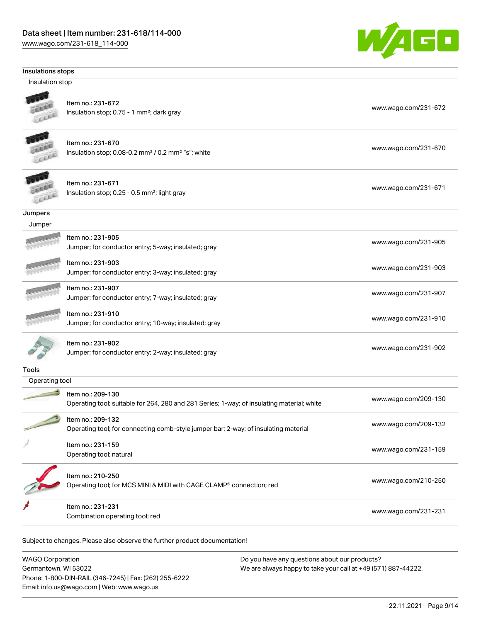# Data sheet | Item number: 231-618/114-000

[www.wago.com/231-618\\_114-000](http://www.wago.com/231-618_114-000)

Germantown, WI 53022

Phone: 1-800-DIN-RAIL (346-7245) | Fax: (262) 255-6222

Email: info.us@wago.com | Web: www.wago.us



|                 | Insulations stops                                                                                               |                      |
|-----------------|-----------------------------------------------------------------------------------------------------------------|----------------------|
| Insulation stop |                                                                                                                 |                      |
|                 | Item no.: 231-672<br>Insulation stop; 0.75 - 1 mm <sup>2</sup> ; dark gray                                      | www.wago.com/231-672 |
|                 | Item no.: 231-670<br>Insulation stop; 0.08-0.2 mm <sup>2</sup> / 0.2 mm <sup>2</sup> "s"; white                 | www.wago.com/231-670 |
|                 | Item no.: 231-671<br>Insulation stop; 0.25 - 0.5 mm <sup>2</sup> ; light gray                                   | www.wago.com/231-671 |
| Jumpers         |                                                                                                                 |                      |
| Jumper          |                                                                                                                 |                      |
|                 | Item no.: 231-905<br>Jumper; for conductor entry; 5-way; insulated; gray                                        | www.wago.com/231-905 |
|                 | Item no.: 231-903<br>Jumper; for conductor entry; 3-way; insulated; gray                                        | www.wago.com/231-903 |
|                 | Item no.: 231-907<br>Jumper; for conductor entry; 7-way; insulated; gray                                        | www.wago.com/231-907 |
|                 | Item no.: 231-910<br>Jumper; for conductor entry; 10-way; insulated; gray                                       | www.wago.com/231-910 |
|                 | Item no.: 231-902<br>Jumper; for conductor entry; 2-way; insulated; gray                                        | www.wago.com/231-902 |
| <b>Tools</b>    |                                                                                                                 |                      |
| Operating tool  |                                                                                                                 |                      |
|                 | Item no.: 209-130<br>Operating tool; suitable for 264, 280 and 281 Series; 1-way; of insulating material; white | www.wago.com/209-130 |
|                 | Item no.: 209-132<br>Operating tool; for connecting comb-style jumper bar; 2-way; of insulating material        | www.wago.com/209-132 |
|                 | Item no.: 231-159<br>Operating tool; natural                                                                    | www.wago.com/231-159 |
|                 | Item no.: 210-250<br>Operating tool; for MCS MINI & MIDI with CAGE CLAMP® connection; red                       | www.wago.com/210-250 |
|                 | Item no.: 231-231<br>Combination operating tool; red                                                            | www.wago.com/231-231 |

We are always happy to take your call at +49 (571) 887-44222.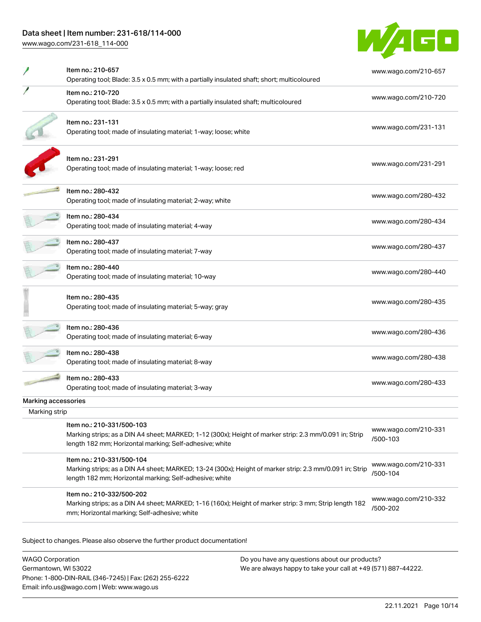# Data sheet | Item number: 231-618/114-000

[www.wago.com/231-618\\_114-000](http://www.wago.com/231-618_114-000)



|                     | Item no.: 210-657                                                                                                                                                                               | www.wago.com/210-657             |
|---------------------|-------------------------------------------------------------------------------------------------------------------------------------------------------------------------------------------------|----------------------------------|
|                     | Operating tool; Blade: 3.5 x 0.5 mm; with a partially insulated shaft; short; multicoloured                                                                                                     |                                  |
|                     | Item no.: 210-720<br>Operating tool; Blade: 3.5 x 0.5 mm; with a partially insulated shaft; multicoloured                                                                                       | www.wago.com/210-720             |
|                     | Item no.: 231-131<br>Operating tool; made of insulating material; 1-way; loose; white                                                                                                           | www.wago.com/231-131             |
|                     | Item no.: 231-291<br>Operating tool; made of insulating material; 1-way; loose; red                                                                                                             | www.wago.com/231-291             |
|                     | Item no.: 280-432<br>Operating tool; made of insulating material; 2-way; white                                                                                                                  | www.wago.com/280-432             |
|                     | Item no.: 280-434<br>Operating tool; made of insulating material; 4-way                                                                                                                         | www.wago.com/280-434             |
|                     | Item no.: 280-437<br>Operating tool; made of insulating material; 7-way                                                                                                                         | www.wago.com/280-437             |
|                     | Item no.: 280-440<br>Operating tool; made of insulating material; 10-way                                                                                                                        | www.wago.com/280-440             |
|                     | Item no.: 280-435<br>Operating tool; made of insulating material; 5-way; gray                                                                                                                   | www.wago.com/280-435             |
|                     | Item no.: 280-436<br>Operating tool; made of insulating material; 6-way                                                                                                                         | www.wago.com/280-436             |
|                     | Item no.: 280-438<br>Operating tool; made of insulating material; 8-way                                                                                                                         | www.wago.com/280-438             |
|                     | Item no.: 280-433<br>Operating tool; made of insulating material; 3-way                                                                                                                         | www.wago.com/280-433             |
| Marking accessories |                                                                                                                                                                                                 |                                  |
| Marking strip       |                                                                                                                                                                                                 |                                  |
|                     | Item no.: 210-331/500-103<br>Marking strips; as a DIN A4 sheet; MARKED; 1-12 (300x); Height of marker strip: 2.3 mm/0.091 in; Strip<br>length 182 mm; Horizontal marking; Self-adhesive; white  | www.wago.com/210-331<br>/500-103 |
|                     | Item no.: 210-331/500-104<br>Marking strips; as a DIN A4 sheet; MARKED; 13-24 (300x); Height of marker strip: 2.3 mm/0.091 in; Strip<br>length 182 mm; Horizontal marking; Self-adhesive; white | www.wago.com/210-331<br>/500-104 |
|                     | Item no.: 210-332/500-202<br>Marking strips; as a DIN A4 sheet; MARKED; 1-16 (160x); Height of marker strip: 3 mm; Strip length 182<br>mm; Horizontal marking; Self-adhesive; white             | www.wago.com/210-332<br>/500-202 |

Subject to changes. Please also observe the further product documentation!

WAGO Corporation Germantown, WI 53022 Phone: 1-800-DIN-RAIL (346-7245) | Fax: (262) 255-6222 Email: info.us@wago.com | Web: www.wago.us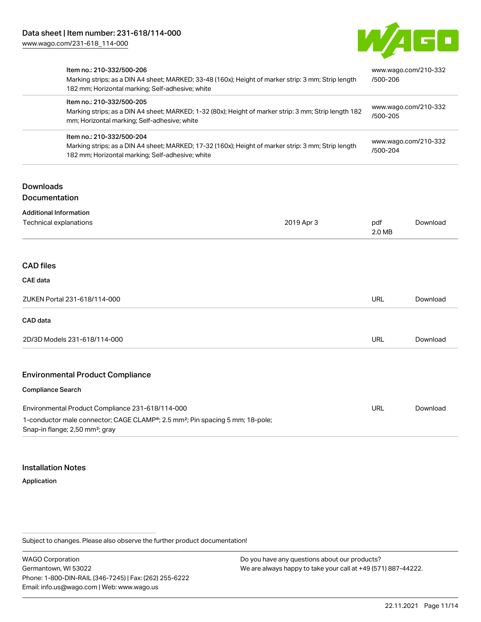

| Item no.: 210-332/500-206<br>182 mm; Horizontal marking; Self-adhesive; white                                                                                                      | Marking strips; as a DIN A4 sheet; MARKED; 33-48 (160x); Height of marker strip: 3 mm; Strip length |               | www.wago.com/210-332<br>/500-206 |  |
|------------------------------------------------------------------------------------------------------------------------------------------------------------------------------------|-----------------------------------------------------------------------------------------------------|---------------|----------------------------------|--|
| Item no.: 210-332/500-205<br>Marking strips; as a DIN A4 sheet; MARKED; 1-32 (80x); Height of marker strip: 3 mm; Strip length 182<br>mm; Horizontal marking; Self-adhesive; white |                                                                                                     | /500-205      | www.wago.com/210-332             |  |
| Item no.: 210-332/500-204<br>182 mm; Horizontal marking; Self-adhesive; white                                                                                                      | Marking strips; as a DIN A4 sheet; MARKED; 17-32 (160x); Height of marker strip: 3 mm; Strip length |               | www.wago.com/210-332<br>/500-204 |  |
| <b>Downloads</b><br><b>Documentation</b>                                                                                                                                           |                                                                                                     |               |                                  |  |
| <b>Additional Information</b>                                                                                                                                                      |                                                                                                     |               |                                  |  |
| Technical explanations                                                                                                                                                             | 2019 Apr 3                                                                                          | pdf<br>2.0 MB | Download                         |  |
| <b>CAD files</b><br><b>CAE</b> data                                                                                                                                                |                                                                                                     |               |                                  |  |
| ZUKEN Portal 231-618/114-000                                                                                                                                                       |                                                                                                     | <b>URL</b>    | Download                         |  |
| CAD data                                                                                                                                                                           |                                                                                                     |               |                                  |  |
| 2D/3D Models 231-618/114-000                                                                                                                                                       |                                                                                                     | <b>URL</b>    | Download                         |  |
| <b>Environmental Product Compliance</b>                                                                                                                                            |                                                                                                     |               |                                  |  |
| <b>Compliance Search</b>                                                                                                                                                           |                                                                                                     |               |                                  |  |
| Environmental Product Compliance 231-618/114-000                                                                                                                                   |                                                                                                     | <b>URL</b>    | Download                         |  |
| 1-conductor male connector; CAGE CLAMP®; 2.5 mm <sup>2</sup> ; Pin spacing 5 mm; 18-pole;<br>Snap-in flange; 2,50 mm <sup>2</sup> ; gray                                           |                                                                                                     |               |                                  |  |

## Installation Notes

#### Application

Subject to changes. Please also observe the further product documentation!

WAGO Corporation Germantown, WI 53022 Phone: 1-800-DIN-RAIL (346-7245) | Fax: (262) 255-6222 Email: info.us@wago.com | Web: www.wago.us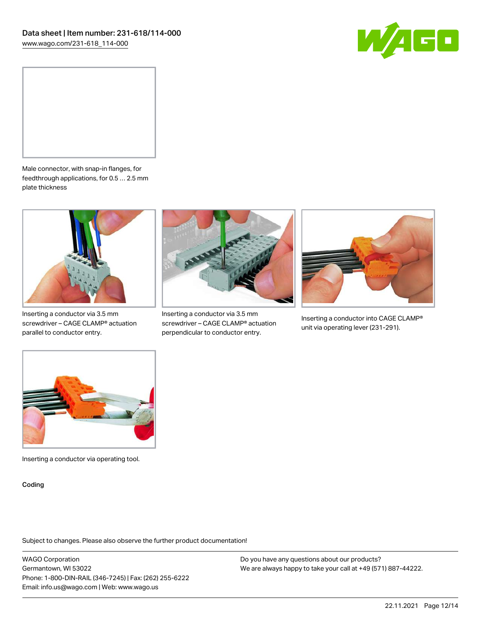



Male connector, with snap-in flanges, for feedthrough applications, for 0.5 … 2.5 mm plate thickness



Inserting a conductor via 3.5 mm screwdriver – CAGE CLAMP® actuation parallel to conductor entry.



Inserting a conductor via 3.5 mm screwdriver – CAGE CLAMP® actuation perpendicular to conductor entry.



Inserting a conductor into CAGE CLAMP® unit via operating lever (231-291).



Inserting a conductor via operating tool.

Coding

Subject to changes. Please also observe the further product documentation!

WAGO Corporation Germantown, WI 53022 Phone: 1-800-DIN-RAIL (346-7245) | Fax: (262) 255-6222 Email: info.us@wago.com | Web: www.wago.us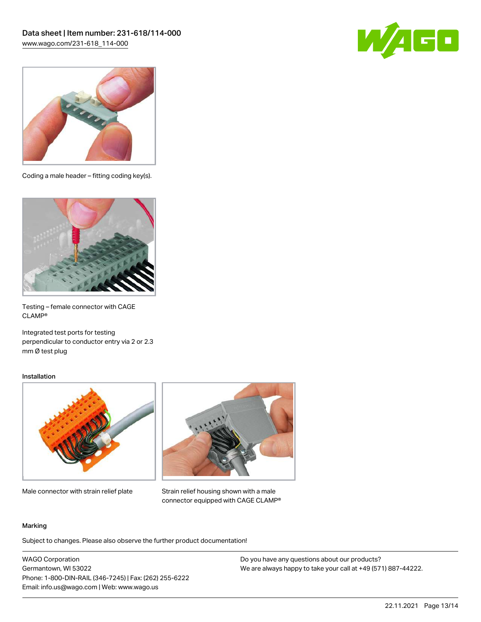



Coding a male header – fitting coding key(s).



Testing – female connector with CAGE CLAMP®

Integrated test ports for testing perpendicular to conductor entry via 2 or 2.3 mm Ø test plug

### Installation



Male connector with strain relief plate



Strain relief housing shown with a male connector equipped with CAGE CLAMP®

#### Marking

Subject to changes. Please also observe the further product documentation!

WAGO Corporation Germantown, WI 53022 Phone: 1-800-DIN-RAIL (346-7245) | Fax: (262) 255-6222 Email: info.us@wago.com | Web: www.wago.us